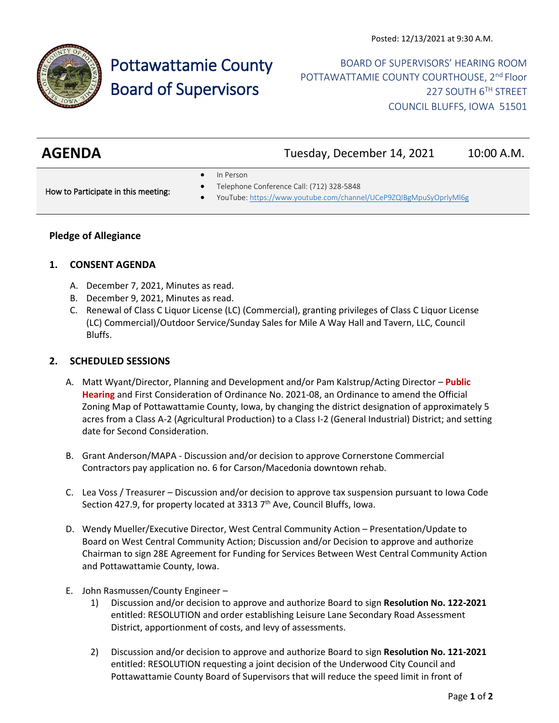

# Pottawattamie County Board of Supervisors

BOARD OF SUPERVISORS' HEARING ROOM POTTAWATTAMIE COUNTY COURTHOUSE, 2<sup>nd</sup> Floor 227 SOUTH 6TH STREET COUNCIL BLUFFS, IOWA 51501

| <b>AGENDA</b> | Tuesday, December 14, 2021 | 10:00 A.M. |
|---------------|----------------------------|------------|

• In Person

How to Participate in this meeting:

- Telephone Conference Call: (712) 328-5848
- YouTube[: https://www.youtube.com/channel/UCeP9ZQIBgMpuSyOprlyMl6g](https://www.youtube.com/channel/UCeP9ZQIBgMpuSyOprlyMl6g)

## **Pledge of Allegiance**

#### **1. CONSENT AGENDA**

- A. December 7, 2021, Minutes as read.
- B. December 9, 2021, Minutes as read.
- C. Renewal of Class C Liquor License (LC) (Commercial), granting privileges of Class C Liquor License (LC) Commercial)/Outdoor Service/Sunday Sales for Mile A Way Hall and Tavern, LLC, Council Bluffs.

#### **2. SCHEDULED SESSIONS**

- A. Matt Wyant/Director, Planning and Development and/or Pam Kalstrup/Acting Director **Public Hearing** and First Consideration of Ordinance No. 2021-08, an Ordinance to amend the Official Zoning Map of Pottawattamie County, Iowa, by changing the district designation of approximately 5 acres from a Class A-2 (Agricultural Production) to a Class I-2 (General Industrial) District; and setting date for Second Consideration.
- B. Grant Anderson/MAPA Discussion and/or decision to approve Cornerstone Commercial Contractors pay application no. 6 for Carson/Macedonia downtown rehab.
- C. Lea Voss / Treasurer Discussion and/or decision to approve tax suspension pursuant to Iowa Code Section 427.9, for property located at 3313  $7<sup>th</sup>$  Ave, Council Bluffs, Iowa.
- D. Wendy Mueller/Executive Director, West Central Community Action Presentation/Update to Board on West Central Community Action; Discussion and/or Decision to approve and authorize Chairman to sign 28E Agreement for Funding for Services Between West Central Community Action and Pottawattamie County, Iowa.
- E. John Rasmussen/County Engineer
	- 1) Discussion and/or decision to approve and authorize Board to sign **Resolution No. 122-2021** entitled: RESOLUTION and order establishing Leisure Lane Secondary Road Assessment District, apportionment of costs, and levy of assessments.
	- 2) Discussion and/or decision to approve and authorize Board to sign **Resolution No. 121-2021** entitled: RESOLUTION requesting a joint decision of the Underwood City Council and Pottawattamie County Board of Supervisors that will reduce the speed limit in front of